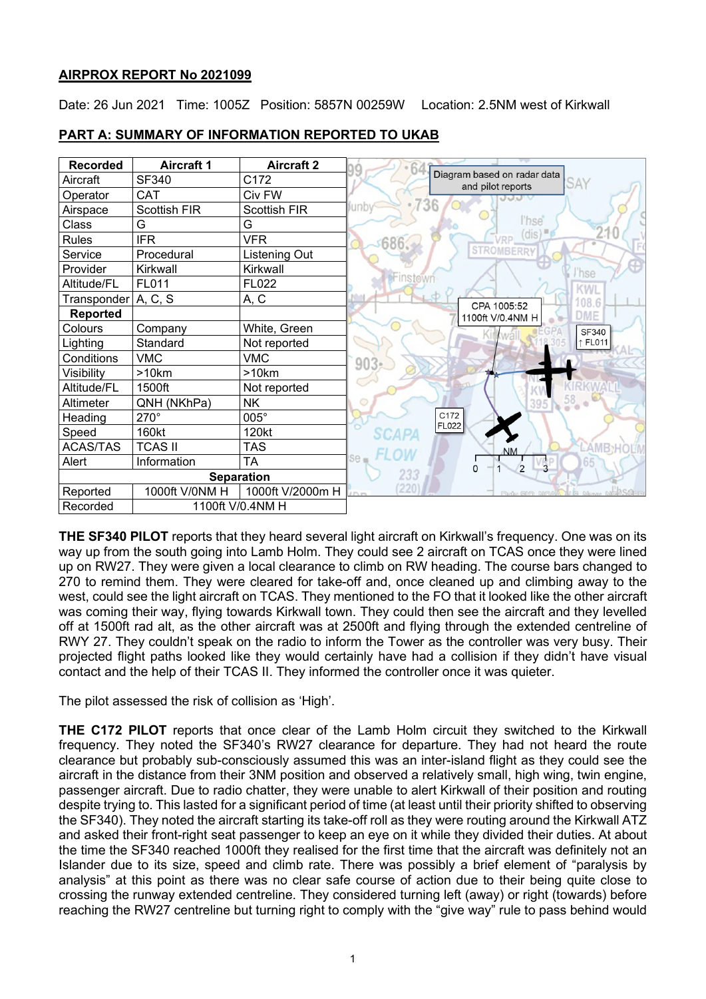### **AIRPROX REPORT No 2021099**

Date: 26 Jun 2021 Time: 1005Z Position: 5857N 00259W Location: 2.5NM west of Kirkwall

| <b>Recorded</b>       | <b>Aircraft 1</b>   | <b>Aircraft 2</b>   |                                                         |
|-----------------------|---------------------|---------------------|---------------------------------------------------------|
| Aircraft              | SF340               | C172                | Diagram based on radar data<br>SAY<br>and pilot reports |
| Operator              | CAT                 | Civ FW              |                                                         |
| Airspace              | <b>Scottish FIR</b> | <b>Scottish FIR</b> | 736<br>unby                                             |
| Class                 | G                   | G                   | l'hse                                                   |
| Rules                 | <b>IFR</b>          | <b>VFR</b>          | (dis)<br>686                                            |
| Service               | Procedural          | Listening Out       | <b>STROMBERR</b>                                        |
| Provider              | Kirkwall            | Kirkwall            | hse                                                     |
| Altitude/FL           | FL011               | FL022               | Finstown                                                |
| Transponder   A, C, S |                     | A, C                | CPA 1005:52                                             |
| <b>Reported</b>       |                     |                     | DME<br>1100ft V/0.4NM H                                 |
| Colours               | Company             | White, Green        | <b>SF340</b><br>kwa                                     |
| Lighting              | Standard            | Not reported        | ↑ FL011                                                 |
| Conditions            | <b>VMC</b>          | <b>VMC</b>          | 903 <sub>2</sub>                                        |
| Visibility            | >10km               | >10km               |                                                         |
| Altitude/FL           | 1500ft              | Not reported        |                                                         |
| Altimeter             | QNH (NKhPa)         | NK                  | 58 <sub>o</sub>                                         |
| Heading               | $270^\circ$         | 005°                | C172                                                    |
| Speed                 | 160kt               | 120kt               | <b>FL022</b><br><b>SCAPA</b>                            |
| <b>ACAS/TAS</b>       | <b>TCAS II</b>      | TAS                 | <b>NM</b>                                               |
| Alert                 | Information         | TA                  | Se <sub>0</sub>                                         |
| <b>Separation</b>     |                     |                     | 233                                                     |
| Reported              | 1000ft V/0NM H      | 1000ft V/2000m H    | (220)<br><b>MASA-</b><br>Brita Sin Nov<br>In G Marvon   |
| Recorded              | 1100ft V/0.4NM H    |                     |                                                         |

# **PART A: SUMMARY OF INFORMATION REPORTED TO UKAB**

**THE SF340 PILOT** reports that they heard several light aircraft on Kirkwall's frequency. One was on its way up from the south going into Lamb Holm. They could see 2 aircraft on TCAS once they were lined up on RW27. They were given a local clearance to climb on RW heading. The course bars changed to 270 to remind them. They were cleared for take-off and, once cleaned up and climbing away to the west, could see the light aircraft on TCAS. They mentioned to the FO that it looked like the other aircraft was coming their way, flying towards Kirkwall town. They could then see the aircraft and they levelled off at 1500ft rad alt, as the other aircraft was at 2500ft and flying through the extended centreline of RWY 27. They couldn't speak on the radio to inform the Tower as the controller was very busy. Their projected flight paths looked like they would certainly have had a collision if they didn't have visual contact and the help of their TCAS II. They informed the controller once it was quieter.

The pilot assessed the risk of collision as 'High'.

**THE C172 PILOT** reports that once clear of the Lamb Holm circuit they switched to the Kirkwall frequency. They noted the SF340's RW27 clearance for departure. They had not heard the route clearance but probably sub-consciously assumed this was an inter-island flight as they could see the aircraft in the distance from their 3NM position and observed a relatively small, high wing, twin engine, passenger aircraft. Due to radio chatter, they were unable to alert Kirkwall of their position and routing despite trying to. This lasted for a significant period of time (at least until their priority shifted to observing the SF340). They noted the aircraft starting its take-off roll as they were routing around the Kirkwall ATZ and asked their front-right seat passenger to keep an eye on it while they divided their duties. At about the time the SF340 reached 1000ft they realised for the first time that the aircraft was definitely not an Islander due to its size, speed and climb rate. There was possibly a brief element of "paralysis by analysis" at this point as there was no clear safe course of action due to their being quite close to crossing the runway extended centreline. They considered turning left (away) or right (towards) before reaching the RW27 centreline but turning right to comply with the "give way" rule to pass behind would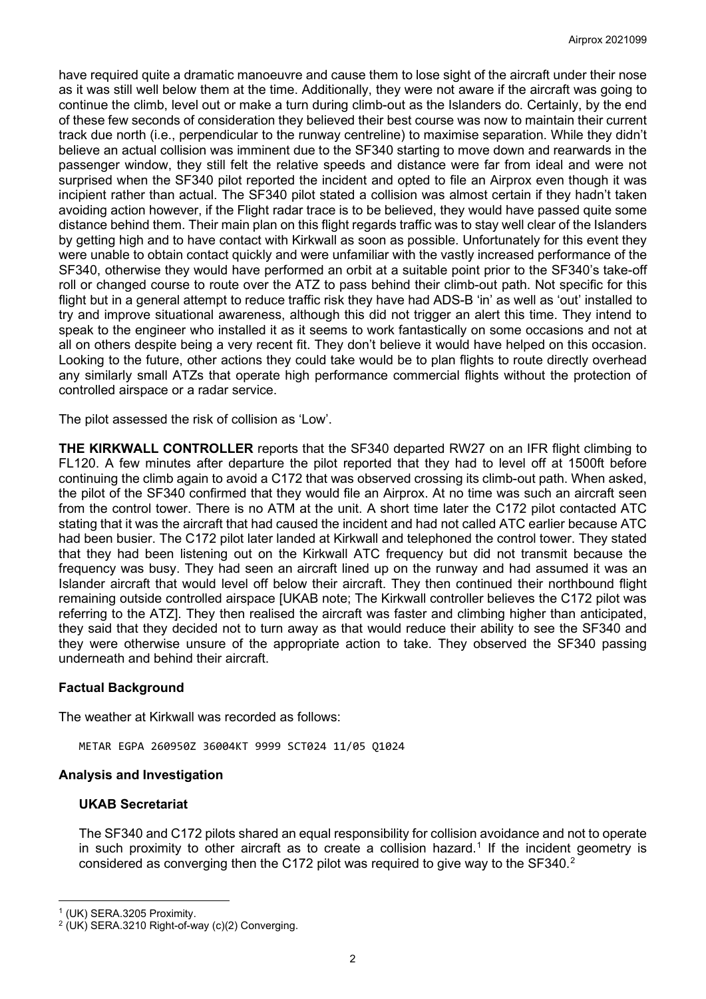have required quite a dramatic manoeuvre and cause them to lose sight of the aircraft under their nose as it was still well below them at the time. Additionally, they were not aware if the aircraft was going to continue the climb, level out or make a turn during climb-out as the Islanders do. Certainly, by the end of these few seconds of consideration they believed their best course was now to maintain their current track due north (i.e., perpendicular to the runway centreline) to maximise separation. While they didn't believe an actual collision was imminent due to the SF340 starting to move down and rearwards in the passenger window, they still felt the relative speeds and distance were far from ideal and were not surprised when the SF340 pilot reported the incident and opted to file an Airprox even though it was incipient rather than actual. The SF340 pilot stated a collision was almost certain if they hadn't taken avoiding action however, if the Flight radar trace is to be believed, they would have passed quite some distance behind them. Their main plan on this flight regards traffic was to stay well clear of the Islanders by getting high and to have contact with Kirkwall as soon as possible. Unfortunately for this event they were unable to obtain contact quickly and were unfamiliar with the vastly increased performance of the SF340, otherwise they would have performed an orbit at a suitable point prior to the SF340's take-off roll or changed course to route over the ATZ to pass behind their climb-out path. Not specific for this flight but in a general attempt to reduce traffic risk they have had ADS-B 'in' as well as 'out' installed to try and improve situational awareness, although this did not trigger an alert this time. They intend to speak to the engineer who installed it as it seems to work fantastically on some occasions and not at all on others despite being a very recent fit. They don't believe it would have helped on this occasion. Looking to the future, other actions they could take would be to plan flights to route directly overhead any similarly small ATZs that operate high performance commercial flights without the protection of controlled airspace or a radar service.

The pilot assessed the risk of collision as 'Low'.

**THE KIRKWALL CONTROLLER** reports that the SF340 departed RW27 on an IFR flight climbing to FL120. A few minutes after departure the pilot reported that they had to level off at 1500ft before continuing the climb again to avoid a C172 that was observed crossing its climb-out path. When asked, the pilot of the SF340 confirmed that they would file an Airprox. At no time was such an aircraft seen from the control tower. There is no ATM at the unit. A short time later the C172 pilot contacted ATC stating that it was the aircraft that had caused the incident and had not called ATC earlier because ATC had been busier. The C172 pilot later landed at Kirkwall and telephoned the control tower. They stated that they had been listening out on the Kirkwall ATC frequency but did not transmit because the frequency was busy. They had seen an aircraft lined up on the runway and had assumed it was an Islander aircraft that would level off below their aircraft. They then continued their northbound flight remaining outside controlled airspace [UKAB note; The Kirkwall controller believes the C172 pilot was referring to the ATZ]. They then realised the aircraft was faster and climbing higher than anticipated, they said that they decided not to turn away as that would reduce their ability to see the SF340 and they were otherwise unsure of the appropriate action to take. They observed the SF340 passing underneath and behind their aircraft.

### **Factual Background**

The weather at Kirkwall was recorded as follows:

METAR EGPA 260950Z 36004KT 9999 SCT024 11/05 Q1024

#### **Analysis and Investigation**

#### **UKAB Secretariat**

The SF340 and C172 pilots shared an equal responsibility for collision avoidance and not to operate in such proximity to other aircraft as to create a collision hazard. [1](#page-1-0) If the incident geometry is considered as converging then the C17[2](#page-1-1) pilot was required to give way to the SF340.<sup>2</sup>

<span id="page-1-0"></span><sup>1</sup> (UK) SERA.3205 Proximity.

<span id="page-1-1"></span> $2$  (UK) SERA.3210 Right-of-way (c)(2) Converging.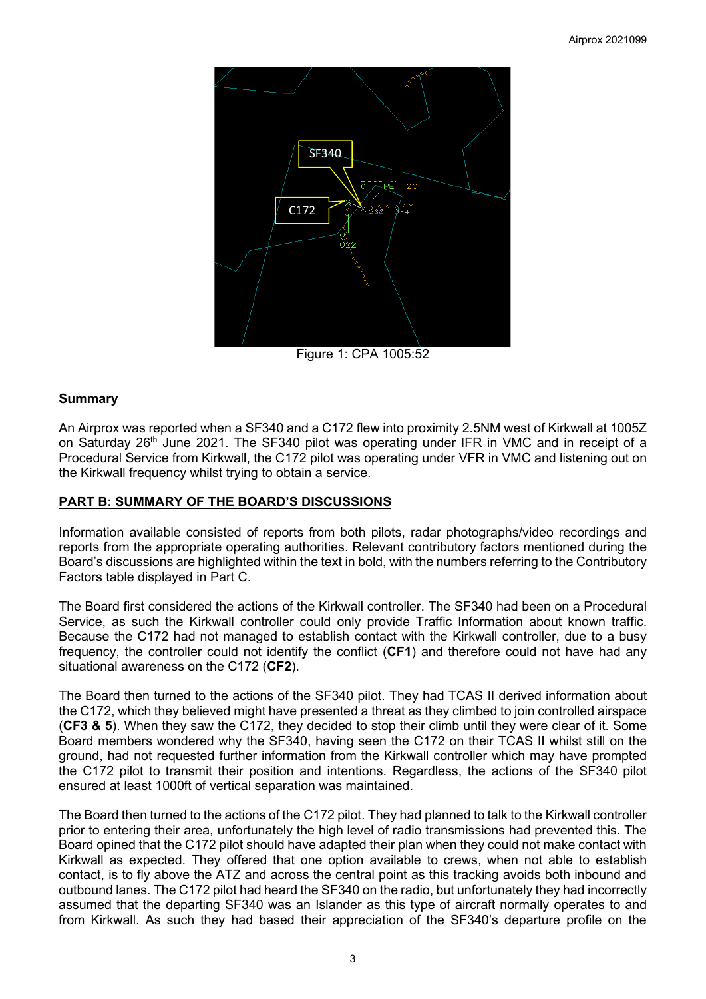

Figure 1: CPA 1005:52

# **Summary**

An Airprox was reported when a SF340 and a C172 flew into proximity 2.5NM west of Kirkwall at 1005Z on Saturday 26<sup>th</sup> June 2021. The SF340 pilot was operating under IFR in VMC and in receipt of a Procedural Service from Kirkwall, the C172 pilot was operating under VFR in VMC and listening out on the Kirkwall frequency whilst trying to obtain a service.

# **PART B: SUMMARY OF THE BOARD'S DISCUSSIONS**

Information available consisted of reports from both pilots, radar photographs/video recordings and reports from the appropriate operating authorities. Relevant contributory factors mentioned during the Board's discussions are highlighted within the text in bold, with the numbers referring to the Contributory Factors table displayed in Part C.

The Board first considered the actions of the Kirkwall controller. The SF340 had been on a Procedural Service, as such the Kirkwall controller could only provide Traffic Information about known traffic. Because the C172 had not managed to establish contact with the Kirkwall controller, due to a busy frequency, the controller could not identify the conflict (**CF1**) and therefore could not have had any situational awareness on the C172 (**CF2**).

The Board then turned to the actions of the SF340 pilot. They had TCAS II derived information about the C172, which they believed might have presented a threat as they climbed to join controlled airspace (**CF3 & 5**). When they saw the C172, they decided to stop their climb until they were clear of it. Some Board members wondered why the SF340, having seen the C172 on their TCAS II whilst still on the ground, had not requested further information from the Kirkwall controller which may have prompted the C172 pilot to transmit their position and intentions. Regardless, the actions of the SF340 pilot ensured at least 1000ft of vertical separation was maintained.

The Board then turned to the actions of the C172 pilot. They had planned to talk to the Kirkwall controller prior to entering their area, unfortunately the high level of radio transmissions had prevented this. The Board opined that the C172 pilot should have adapted their plan when they could not make contact with Kirkwall as expected. They offered that one option available to crews, when not able to establish contact, is to fly above the ATZ and across the central point as this tracking avoids both inbound and outbound lanes. The C172 pilot had heard the SF340 on the radio, but unfortunately they had incorrectly assumed that the departing SF340 was an Islander as this type of aircraft normally operates to and from Kirkwall. As such they had based their appreciation of the SF340's departure profile on the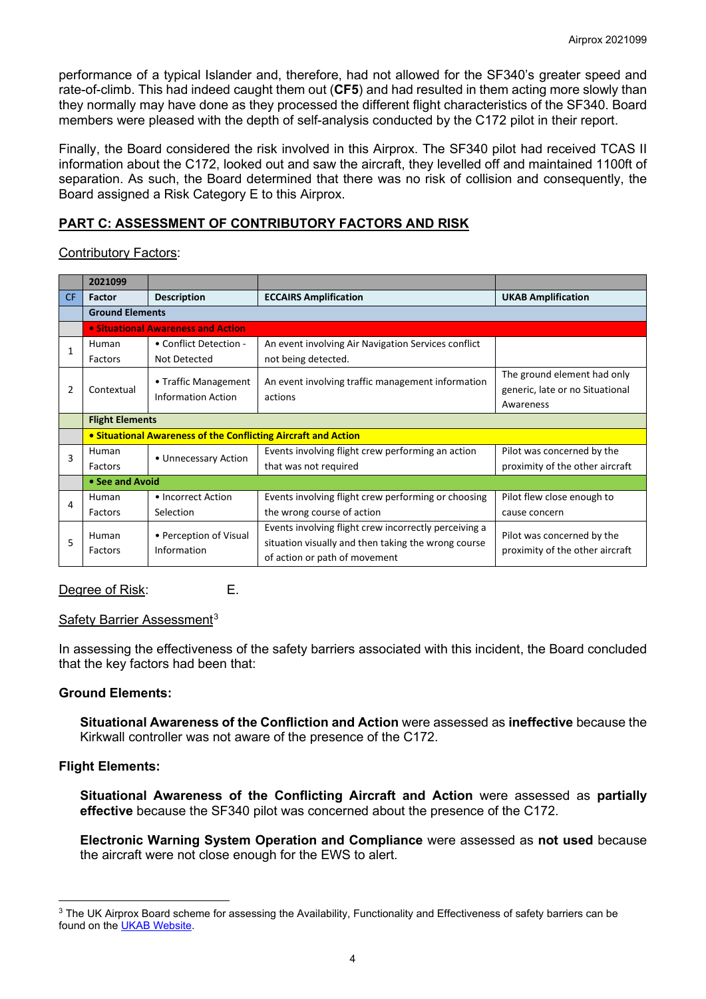performance of a typical Islander and, therefore, had not allowed for the SF340's greater speed and rate-of-climb. This had indeed caught them out (**CF5**) and had resulted in them acting more slowly than they normally may have done as they processed the different flight characteristics of the SF340. Board members were pleased with the depth of self-analysis conducted by the C172 pilot in their report.

Finally, the Board considered the risk involved in this Airprox. The SF340 pilot had received TCAS II information about the C172, looked out and saw the aircraft, they levelled off and maintained 1100ft of separation. As such, the Board determined that there was no risk of collision and consequently, the Board assigned a Risk Category E to this Airprox.

# **PART C: ASSESSMENT OF CONTRIBUTORY FACTORS AND RISK**

Contributory Factors:

|     | 2021099                                                        |                                                   |                                                              |                                 |  |  |  |
|-----|----------------------------------------------------------------|---------------------------------------------------|--------------------------------------------------------------|---------------------------------|--|--|--|
| CF. | Factor                                                         | <b>Description</b>                                | <b>ECCAIRS Amplification</b>                                 | <b>UKAB Amplification</b>       |  |  |  |
|     | <b>Ground Elements</b>                                         |                                                   |                                                              |                                 |  |  |  |
|     |                                                                | • Situational Awareness and Action                |                                                              |                                 |  |  |  |
| 1   | Human                                                          | • Conflict Detection -                            | An event involving Air Navigation Services conflict          |                                 |  |  |  |
|     | Factors                                                        | Not Detected                                      | not being detected.                                          |                                 |  |  |  |
| 2   | Contextual                                                     | • Traffic Management<br><b>Information Action</b> | An event involving traffic management information<br>actions | The ground element had only     |  |  |  |
|     |                                                                |                                                   |                                                              | generic, late or no Situational |  |  |  |
|     |                                                                |                                                   |                                                              | Awareness                       |  |  |  |
|     | <b>Flight Elements</b>                                         |                                                   |                                                              |                                 |  |  |  |
|     | • Situational Awareness of the Conflicting Aircraft and Action |                                                   |                                                              |                                 |  |  |  |
| 3   | Human                                                          | • Unnecessary Action                              | Events involving flight crew performing an action            | Pilot was concerned by the      |  |  |  |
|     | Factors                                                        |                                                   | that was not required                                        | proximity of the other aircraft |  |  |  |
|     | • See and Avoid                                                |                                                   |                                                              |                                 |  |  |  |
| 4   | Human                                                          | • Incorrect Action                                | Events involving flight crew performing or choosing          | Pilot flew close enough to      |  |  |  |
|     | Factors                                                        | Selection                                         | the wrong course of action                                   | cause concern                   |  |  |  |
| 5   | Human<br>Factors                                               | • Perception of Visual<br>Information             | Events involving flight crew incorrectly perceiving a        | Pilot was concerned by the      |  |  |  |
|     |                                                                |                                                   | situation visually and then taking the wrong course          | proximity of the other aircraft |  |  |  |
|     |                                                                |                                                   | of action or path of movement                                |                                 |  |  |  |

Degree of Risk: E.

#### Safety Barrier Assessment<sup>[3](#page-3-0)</sup>

In assessing the effectiveness of the safety barriers associated with this incident, the Board concluded that the key factors had been that:

#### **Ground Elements:**

**Situational Awareness of the Confliction and Action** were assessed as **ineffective** because the Kirkwall controller was not aware of the presence of the C172.

#### **Flight Elements:**

**Situational Awareness of the Conflicting Aircraft and Action** were assessed as **partially effective** because the SF340 pilot was concerned about the presence of the C172.

**Electronic Warning System Operation and Compliance** were assessed as **not used** because the aircraft were not close enough for the EWS to alert.

<span id="page-3-0"></span><sup>&</sup>lt;sup>3</sup> The UK Airprox Board scheme for assessing the Availability, Functionality and Effectiveness of safety barriers can be found on the [UKAB Website.](http://www.airproxboard.org.uk/Learn-more/Airprox-Barrier-Assessment/)